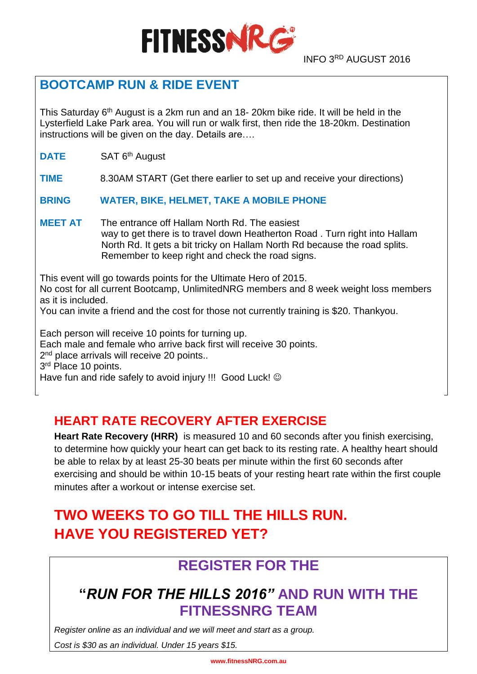

#### INFO 3RD AUGUST 2016

### **BOOTCAMP RUN & RIDE EVENT**

This Saturday 6<sup>th</sup> August is a 2km run and an 18- 20km bike ride. It will be held in the Lysterfield Lake Park area. You will run or walk first, then ride the 18-20km. Destination instructions will be given on the day. Details are….

**DATE** SAT 6<sup>th</sup> August

**TIME** 8.30AM START (Get there earlier to set up and receive your directions)

**BRING WATER, BIKE, HELMET, TAKE A MOBILE PHONE**

**MEET AT** The entrance off Hallam North Rd. The easiest way to get there is to travel down Heatherton Road . Turn right into Hallam North Rd. It gets a bit tricky on Hallam North Rd because the road splits. Remember to keep right and check the road signs.

This event will go towards points for the Ultimate Hero of 2015. No cost for all current Bootcamp, UnlimitedNRG members and 8 week weight loss members as it is included. You can invite a friend and the cost for those not currently training is \$20. Thankyou. Each person will receive 10 points for turning up. Each male and female who arrive back first will receive 30 points. 2<sup>nd</sup> place arrivals will receive 20 points..

3<sup>rd</sup> Place 10 points.

Have fun and ride safely to avoid injury !!! Good Luck! ©

### **HEART RATE RECOVERY AFTER EXERCISE**

**Heart Rate Recovery (HRR)** is measured 10 and 60 seconds after you finish exercising, to determine how quickly your heart can get back to its resting rate. A healthy heart should be able to relax by at least 25-30 beats per minute within the first 60 seconds after exercising and should be within 10-15 beats of your resting heart rate within the first couple minutes after a workout or intense exercise set.

# **TWO WEEKS TO GO TILL THE HILLS RUN. HAVE YOU REGISTERED YET?**

# **REGISTER FOR THE**

# **"***RUN FOR THE HILLS 2016"* **AND RUN WITH THE FITNESSNRG TEAM**

*Register online as an individual and we will meet and start as a group.* 

*Cost is \$30 as an individual. Under 15 years \$15.*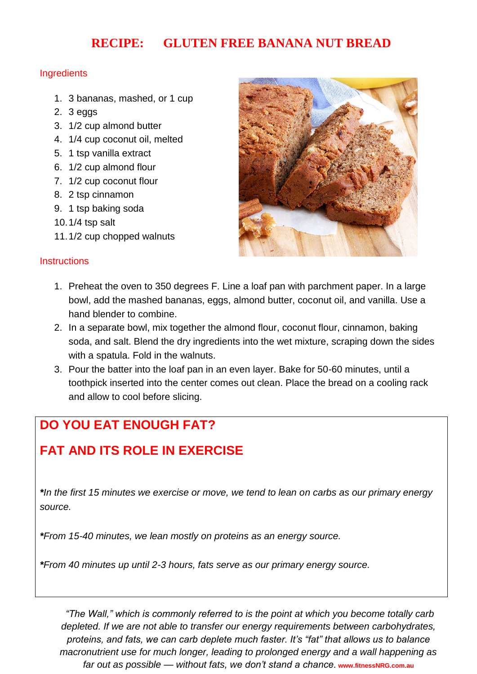### **RECIPE: GLUTEN FREE BANANA NUT BREAD**

#### **Ingredients**

- 1. 3 bananas, mashed, or 1 cup
- 2. 3 eggs
- 3. 1/2 cup almond butter
- 4. 1/4 cup coconut oil, melted
- 5. 1 tsp vanilla extract
- 6. 1/2 cup almond flour
- 7. 1/2 cup coconut flour
- 8. 2 tsp cinnamon
- 9. 1 tsp baking soda
- 10.1/4 tsp salt
- 11.1/2 cup chopped walnuts

#### **Instructions**



- 1. Preheat the oven to 350 degrees F. Line a loaf pan with parchment paper. In a large bowl, add the mashed bananas, eggs, almond butter, coconut oil, and vanilla. Use a hand blender to combine.
- 2. In a separate bowl, mix together the almond flour, coconut flour, cinnamon, baking soda, and salt. Blend the dry ingredients into the wet mixture, scraping down the sides with a spatula. Fold in the walnuts.
- 3. Pour the batter into the loaf pan in an even layer. Bake for 50-60 minutes, until a toothpick inserted into the center comes out clean. Place the bread on a cooling rack and allow to cool before slicing.

## **DO YOU EAT ENOUGH FAT?**

# **FAT AND ITS ROLE IN EXERCISE**

*\*In the first 15 minutes we exercise or move, we tend to lean on carbs as our primary energy source.*

*\*From 15-40 minutes, we lean mostly on proteins as an energy source.*

*\*From 40 minutes up until 2-3 hours, fats serve as our primary energy source.*

*"The Wall," which is commonly referred to is the point at which you become totally carb depleted. If we are not able to transfer our energy requirements between carbohydrates, proteins, and fats, we can carb deplete much faster. It's "fat" that allows us to balance macronutrient use for much longer, leading to prolonged energy and a wall happening as far out as possible — without fats, we don't stand a chance.* **www.fitnessNRG.com.au**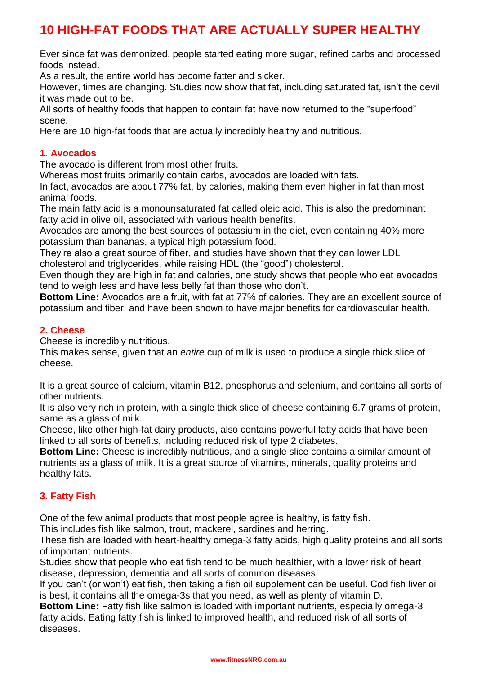### **10 HIGH-FAT FOODS THAT ARE ACTUALLY SUPER HEALTHY**

Ever since fat was demonized, people started eating more sugar, refined carbs and processed foods instead.

As a result, the entire world has become fatter and sicker.

However, times are changing. Studies now show that fat, including [saturated fat,](https://authoritynutrition.com/saturated-fat-good-or-bad/) isn't the devil it was made out to be.

All sorts of healthy foods that happen to contain fat have now returned to the "superfood" scene.

Here are 10 high-fat foods that are actually incredibly healthy and nutritious.

#### **1. Avocados**

The avocado is different from most other fruits.

Whereas most fruits primarily contain [carbs,](https://authoritynutrition.com/how-many-carbs-per-day-to-lose-weight/) avocados are loaded with fats.

In fact, avocados are about 77% fat, by calories, making them even higher in fat than most animal foods.

The main fatty acid is a monounsaturated fat called [oleic acid.](https://en.wikipedia.org/wiki/Oleic_acid) This is also the predominant fatty acid in olive oil, associated with various health benefits.

Avocados are among the best sources of potassium in the diet, even containing 40% more potassium than bananas, a typical high potassium food.

They're also a [great source of fiber,](https://authoritynutrition.com/22-high-fiber-foods/) and studies have shown that they can lower LDL

cholesterol and triglycerides, while raising HDL (the "good") cholesterol.

Even though they are high in fat and calories, one study shows that people who eat [avocados](https://authoritynutrition.com/12-proven-benefits-of-avocado/) tend to weigh less and have less belly fat than those who don't.

**Bottom Line:** Avocados are a fruit, with fat at 77% of calories. They are an excellent source of potassium and fiber, and have been shown to have major benefits for cardiovascular health.

#### **2. Cheese**

[Cheese](https://authoritynutrition.com/foods/cheese/) is incredibly nutritious.

This makes sense, given that an *entire* cup of milk is used to produce a single thick slice of cheese.

It is a great [source of calcium,](https://authoritynutrition.com/15-calcium-rich-foods/) vitamin B12, phosphorus and selenium, and contains all sorts of other nutrients.

It is also very [rich in protein,](https://authoritynutrition.com/how-much-protein-per-day/) with a single thick slice of cheese containing 6.7 grams of protein, same as a glass of [milk.](https://authoritynutrition.com/foods/milk/)

Cheese, like other high-fat dairy products, also contains powerful fatty acids that have been linked to all sorts of benefits, including reduced risk of type 2 diabetes.

**Bottom Line:** Cheese is incredibly nutritious, and a single slice contains a similar amount of nutrients as a glass of milk. It is a great source of vitamins, minerals, quality proteins and healthy fats.

#### **3. Fatty Fish**

One of the few animal products that most people [agree is healthy,](https://authoritynutrition.com/11-health-benefits-of-fish/) is fatty fish.

This includes fish like salmon, trout, mackerel, sardines and herring.

These fish are loaded with heart-healthy omega-3 fatty acids, high quality proteins and all sorts of important nutrients.

Studies show that people who eat fish tend to be much healthier, with a lower risk of heart disease, depression, dementia and all sorts of common diseases.

If you can't (or won't) eat fish, then taking a fish oil supplement can be useful. Cod fish liver oil is best, it contains [all the omega-3s](https://authoritynutrition.com/omega-3-guide/) that you need, as well as plenty of [vitamin D.](https://authoritynutrition.com/vitamin-d-101/)

**Bottom Line:** Fatty fish like salmon is loaded with important nutrients, especially omega-3 fatty acids. Eating fatty fish is linked to improved health, and reduced risk of all sorts of diseases.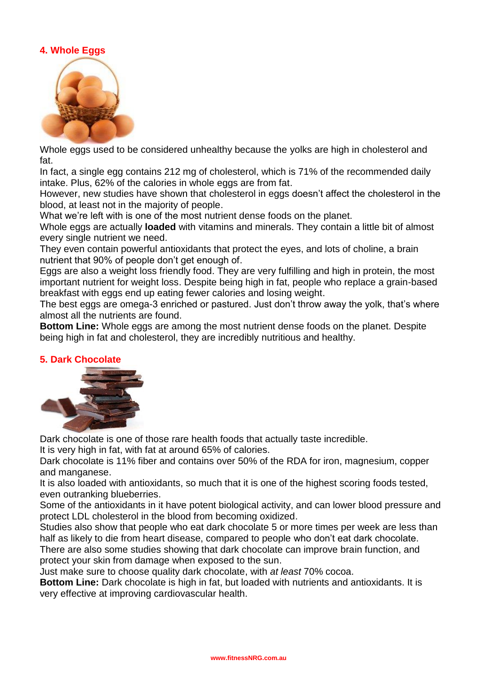#### **4. Whole Eggs**



Whole [eggs](https://authoritynutrition.com/10-proven-health-benefits-of-eggs/) used to be considered unhealthy because the [yolks](https://authoritynutrition.com/are-egg-yolks-bad/) are high in cholesterol and fat.

In fact, a single egg contains 212 mg of cholesterol, which is 71% of the recommended daily intake. Plus, 62% of the calories in whole eggs are from fat.

However, new studies have shown that [cholesterol in eggs](https://authoritynutrition.com/how-many-eggs-should-you-eat/) doesn't affect the cholesterol in the blood, at least not in the majority of people.

What we're left with is one of the most [nutrient dense](https://authoritynutrition.com/11-most-nutrient-dense-foods-on-the-planet/) foods on the planet.

Whole eggs are actually **loaded** with vitamins and minerals. They contain a little bit of almost every single nutrient we need.

They even contain powerful antioxidants that protect the eyes, and lots of choline, a brain nutrient that 90% of people don't get enough of.

Eggs are also a [weight loss friendly food.](https://authoritynutrition.com/20-most-weight-loss-friendly-foods/) They are very fulfilling and high in protein, the most important nutrient for weight loss. Despite being high in fat, people who replace a grain-based breakfast with eggs end up eating fewer calories and losing weight.

The best eggs are omega-3 enriched or pastured. Just don't throw away the yolk, that's where almost all the nutrients are found.

**Bottom Line:** Whole eggs are among the most nutrient dense foods on the planet. Despite being high in fat and cholesterol, they are incredibly nutritious and healthy.

#### **5. Dark Chocolate**



Dark chocolate is one of those rare health foods that actually [taste incredible.](https://authoritynutrition.com/15-health-foods-that-taste-better-than-junk-foods/)

It is very high in fat, with fat at around 65% of calories.

Dark chocolate is 11% fiber and contains over 50% of the RDA for iron, magnesium, copper and manganese.

It is also loaded with [antioxidants,](https://authoritynutrition.com/antioxidants-explained/) so much that it is one of the highest scoring foods tested, even outranking blueberries.

Some of the antioxidants in it have potent biological activity, and can lower blood pressure and protect LDL cholesterol in the blood from becoming oxidized.

Studies also show that people who eat dark chocolate 5 or more times per week are less than half as likely to die from heart disease, compared to people who don't eat dark chocolate.

There are also some studies showing that dark chocolate can improve brain function, and protect your skin from damage when exposed to the sun.

Just make sure to choose quality [dark chocolate,](https://authoritynutrition.com/7-health-benefits-dark-chocolate/) with *at least* 70% cocoa.

**Bottom Line:** Dark chocolate is high in fat, but loaded with nutrients and antioxidants. It is very effective at improving cardiovascular health.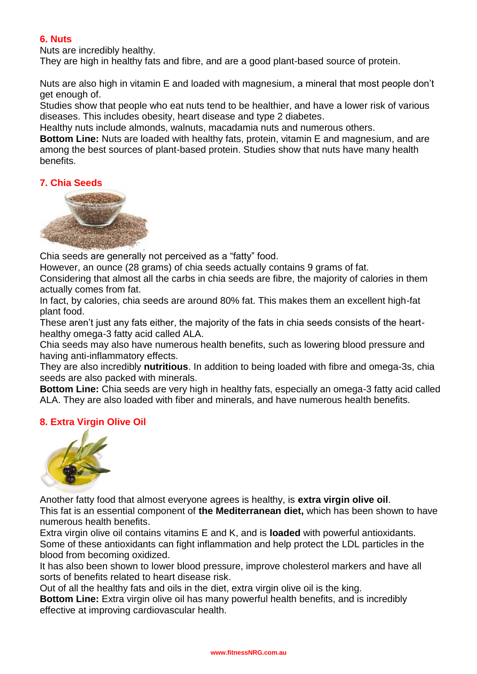#### **6. Nuts**

Nuts are incredibly healthy.

They are high in healthy fats and [fibre](https://authoritynutrition.com/why-is-fiber-good-for-you/), and are a good plant-based source of protein.

Nuts are also high in vitamin E and [loaded with magnesium,](https://authoritynutrition.com/10-foods-high-in-magnesium/) a mineral that most people don't get enough of.

Studies show that people who eat nuts tend to be healthier, and have a lower risk of various diseases. This includes obesity, heart disease and type 2 diabetes.

Healthy nuts include almonds, walnuts, macadamia nuts and numerous others.

**Bottom Line:** Nuts are loaded with healthy fats, protein, vitamin E and magnesium, and are among the best sources of plant-based protein. Studies show that nuts have many health benefits.

#### **7. Chia Seeds**



[Chia seeds](https://authoritynutrition.com/11-proven-health-benefits-of-chia-seeds/) are generally not perceived as a "fatty" food.

However, an ounce (28 grams) of chia seeds actually contains 9 grams of fat.

Considering that almost all the carbs in chia seeds are fibre, the majority of calories in them actually comes from fat.

In fact, by calories, chia seeds are around 80% fat. This makes them an excellent high-fat plant food.

These aren't just any fats either, the majority of the fats in chia seeds consists of the hearthealthy omega-3 fatty acid called ALA.

Chia seeds may also have numerous health benefits, such as lowering blood pressure and having anti-inflammatory effects.

They are also incredibly **[nutritious](https://authoritynutrition.com/foods/chia-seeds/)**. In addition to being loaded with fibre and omega-3s, chia seeds are also packed with minerals.

**Bottom Line:** Chia seeds are very high in healthy fats, especially an omega-3 fatty acid called ALA. They are also loaded with fiber and minerals, and have numerous health benefits.

#### **8. Extra Virgin Olive Oil**



Another fatty food that almost everyone agrees is healthy, is **[extra virgin olive oil](https://authoritynutrition.com/extra-virgin-olive-oil/)**.

This fat is an essential component of **[the Mediterranean diet,](https://authoritynutrition.com/mediterranean-diet-meal-plan/)** which has been shown to have numerous health benefits.

Extra virgin olive oil contains vitamins E and K, and is **loaded** with powerful antioxidants. Some of these antioxidants can fight inflammation and help protect the LDL particles in the blood from becoming oxidized.

It has also been shown to lower blood pressure, improve cholesterol markers and have [all](https://authoritynutrition.com/11-proven-benefits-of-olive-oil/)  [sorts of benefits](https://authoritynutrition.com/11-proven-benefits-of-olive-oil/) related to heart disease risk.

Out of all the healthy fats and oils in the diet, extra virgin olive oil is the king.

**Bottom Line:** Extra virgin olive oil has many powerful health benefits, and is incredibly effective at improving cardiovascular health.